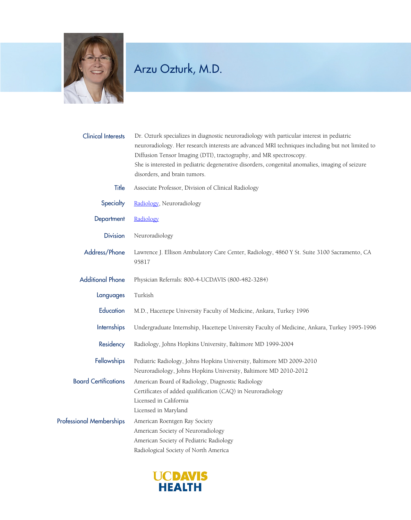

## Arzu Ozturk, M.D.

| <b>Clinical Interests</b>       | Dr. Ozturk specializes in diagnostic neuroradiology with particular interest in pediatric<br>neuroradiology. Her research interests are advanced MRI techniques including but not limited to<br>Diffusion Tensor Imaging (DTI), tractography, and MR spectroscopy.<br>She is interested in pediatric degenerative disorders, congenital anomalies, imaging of seizure |
|---------------------------------|-----------------------------------------------------------------------------------------------------------------------------------------------------------------------------------------------------------------------------------------------------------------------------------------------------------------------------------------------------------------------|
|                                 | disorders, and brain tumors.                                                                                                                                                                                                                                                                                                                                          |
| Title                           | Associate Professor, Division of Clinical Radiology                                                                                                                                                                                                                                                                                                                   |
| Specialty                       | Radiology, Neuroradiology                                                                                                                                                                                                                                                                                                                                             |
| Department                      | Radiology                                                                                                                                                                                                                                                                                                                                                             |
| <b>Division</b>                 | Neuroradiology                                                                                                                                                                                                                                                                                                                                                        |
| Address/Phone                   | Lawrence J. Ellison Ambulatory Care Center, Radiology, 4860 Y St. Suite 3100 Sacramento, CA<br>95817                                                                                                                                                                                                                                                                  |
| <b>Additional Phone</b>         | Physician Referrals: 800-4-UCDAVIS (800-482-3284)                                                                                                                                                                                                                                                                                                                     |
| Languages                       | Turkish                                                                                                                                                                                                                                                                                                                                                               |
| Education                       | M.D., Hacettepe University Faculty of Medicine, Ankara, Turkey 1996                                                                                                                                                                                                                                                                                                   |
| <b>Internships</b>              | Undergraduate Internship, Hacettepe University Faculty of Medicine, Ankara, Turkey 1995-1996                                                                                                                                                                                                                                                                          |
| Residency                       | Radiology, Johns Hopkins University, Baltimore MD 1999-2004                                                                                                                                                                                                                                                                                                           |
| Fellowships                     | Pediatric Radiology, Johns Hopkins University, Baltimore MD 2009-2010<br>Neuroradiology, Johns Hopkins University, Baltimore MD 2010-2012                                                                                                                                                                                                                             |
| <b>Board Certifications</b>     | American Board of Radiology, Diagnostic Radiology<br>Certificates of added qualification (CAQ) in Neuroradiology<br>Licensed in California<br>Licensed in Maryland                                                                                                                                                                                                    |
| <b>Professional Memberships</b> | American Roentgen Ray Society<br>American Society of Neuroradiology<br>American Society of Pediatric Radiology<br>Radiological Society of North America                                                                                                                                                                                                               |

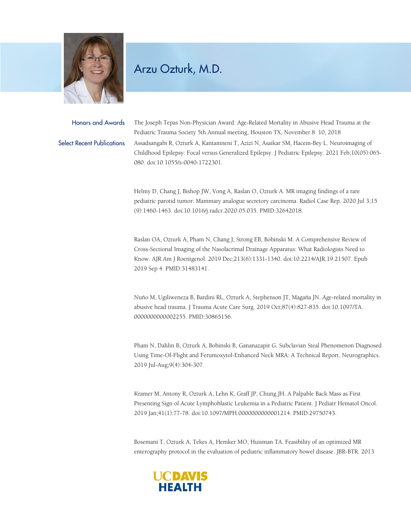

## Arzu Ozturk, M.D.

Honors and Awards The Joseph Tepas Non-Physician Award: Age-Related Mortality in Abusive Head Trauma at the Pediatric Trauma Society 5th Annual meeting, Houston TX, November 8 10, 2018 Select Recent Publications Assadsangabi R, Ozturk A, Kantamneni T, Azizi N, Asaikar SM, Hacein-Bey L. Neuroimaging of Childhood Epilepsy: Focal versus Generalized Epilepsy. J Pediatric Epilepsy. 2021 Feb;10(05):065- 080. doi:10.1055/s-0040-1722301.

> Helmy D, Chang J, Bishop JW, Vong A, Raslan O, Ozturk A. MR imaging findings of a rare pediatric parotid tumor: Mammary analogue secretory carcinoma. Radiol Case Rep. 2020 Jul 3;15 (9):1460-1463. doi:10.1016/j.radcr.2020.05.035. PMID:32642018.

Raslan OA, Ozturk A, Pham N, Chang J, Strong EB, Bobinski M. A Comprehensive Review of Cross-Sectional Imaging of the Nasolacrimal Drainage Apparatus: What Radiologists Need to Know. AJR Am J Roentgenol. 2019 Dec;213(6):1331-1340. doi:10.2214/AJR.19.21507. Epub 2019 Sep 4. PMID:31483141.

Nuño M, Ugiliweneza B, Bardini RL, Ozturk A, Stephenson JT, Magaña JN. Age-related mortality in abusive head trauma. J Trauma Acute Care Surg. 2019 Oct;87(4):827-835. doi:10.1097/TA. 0000000000002255. PMID:30865156.

Pham N, Dahlin B, Ozturk A, Bobinski B, Gananazapir G. Subclavian Steal Phenomenon Diagnosed Using Time-Of-Flight and Ferumoxytol-Enhanced Neck MRA: A Technical Report. Neurographics. 2019 Jul-Aug;9(4):304-307.

Kramer M, Antony R, Ozturk A, Lehn K, Graff JP, Chung JH. A Palpable Back Mass as First Presenting Sign of Acute Lymphoblastic Leukemia in a Pediatric Patient. J Pediatr Hematol Oncol. 2019 Jan;41(1):77-78. doi:10.1097/MPH.0000000000001214. PMID:29750743.

Bosemani T, Ozturk A, Tekes A, Hemker MO, Huisman TA. Feasibility of an optimized MR enterography protocol in the evaluation of pediatric inflammatory bowel disease. JBR-BTR. 2013